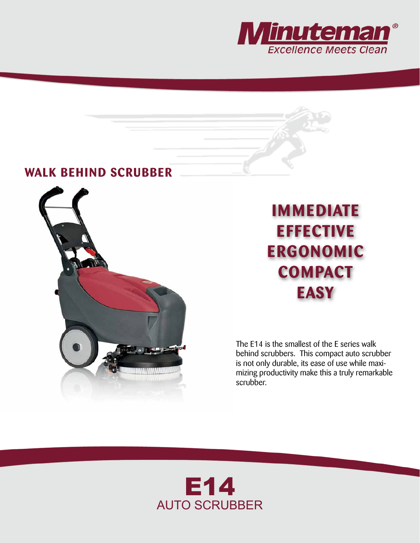

## **WALK BEHIND SCRUBBER**



## **IMMEDIATE EFFECTIVE ERGONOMIC COMPACT EASY**

The E14 is the smallest of the E series walk behind scrubbers. This compact auto scrubber is not only durable, its ease of use while maximizing productivity make this a truly remarkable scrubber.